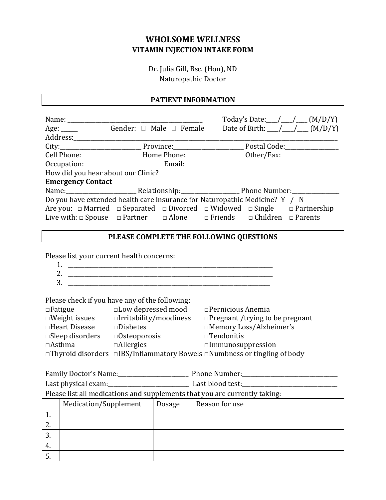# **WHOLSOME WELLNESS VITAMIN INJECTION INTAKE FORM**

Dr. Julia Gill, Bsc. (Hon), ND Naturopathic Doctor

#### **PATIENT INFORMATION**

|                                                                                                                                                                                                                                      |                                                                                              |  |                                                                                                                                                                                                                                |  | Today's Date: $_{\_}/\_/\_$ (M/D/Y)             |  |
|--------------------------------------------------------------------------------------------------------------------------------------------------------------------------------------------------------------------------------------|----------------------------------------------------------------------------------------------|--|--------------------------------------------------------------------------------------------------------------------------------------------------------------------------------------------------------------------------------|--|-------------------------------------------------|--|
| Age: ______ Gender: □ Male □ Female                                                                                                                                                                                                  |                                                                                              |  |                                                                                                                                                                                                                                |  | Date of Birth: $\_\_\_\_\_\_\_\_\_\_\_$ (M/D/Y) |  |
|                                                                                                                                                                                                                                      |                                                                                              |  |                                                                                                                                                                                                                                |  |                                                 |  |
|                                                                                                                                                                                                                                      |                                                                                              |  |                                                                                                                                                                                                                                |  |                                                 |  |
|                                                                                                                                                                                                                                      | Cell Phone: ____________________________Home Phone: _____________________________ Other/Fax: |  |                                                                                                                                                                                                                                |  |                                                 |  |
|                                                                                                                                                                                                                                      |                                                                                              |  |                                                                                                                                                                                                                                |  |                                                 |  |
| How did you hear about our Clinic?<br><u>Letting</u> 2020 and 2021 to the summer summer and the summer summer summer summer summer summer summer summer summer summer summer summer summer summer summer summer summer summer summer |                                                                                              |  |                                                                                                                                                                                                                                |  |                                                 |  |
| <b>Emergency Contact</b>                                                                                                                                                                                                             |                                                                                              |  |                                                                                                                                                                                                                                |  |                                                 |  |
|                                                                                                                                                                                                                                      |                                                                                              |  | Name: Name: Name: Name: Nelationship: Name: Namber: Namber: Namber: Namber: Namber: Namber: Namber: Name of Namber: Name of Namber: Name of Namber: Name of Namber of Namber of Namber of Namber of Namber of Namber of Namber |  |                                                 |  |
| Do you have extended health care insurance for Naturopathic Medicine? Y / N                                                                                                                                                          |                                                                                              |  |                                                                                                                                                                                                                                |  |                                                 |  |
| Are you: $\Box$ Married $\Box$ Separated $\Box$ Divorced $\Box$ Widowed $\Box$ Single $\Box$ Partnership                                                                                                                             |                                                                                              |  |                                                                                                                                                                                                                                |  |                                                 |  |
| Live with: $\Box$ Spouse $\Box$ Partner $\Box$ Alone $\Box$ Friends $\Box$ Children $\Box$ Parents                                                                                                                                   |                                                                                              |  |                                                                                                                                                                                                                                |  |                                                 |  |

### **PLEASE COMPLETE THE FOLLOWING QUESTIONS**

Please list your current health concerns:

Please check if you have any of the following:

| $\Box$ Fatigue            | $\Box$ Low depressed mood     | $\Box$ Pernicious Anemia                                                                    |
|---------------------------|-------------------------------|---------------------------------------------------------------------------------------------|
| $\square$ Weight issues   | $\Box$ Irritability/moodiness | $\Box$ Pregnant /trying to be pregnant                                                      |
| $\Box$ Heart Disease      | $\square$ Diabetes            | □Memory Loss/Alzheimer's                                                                    |
| $\square$ Sleep disorders | $\Box$ Osteoporosis           | $\Box$ Tendonitis                                                                           |
| $\Box$ Asthma             | $\Box$ Allergies              | $\square$ Immunosuppression                                                                 |
|                           |                               | $\Box$ Thyroid disorders $\Box$ IBS/Inflammatory Bowels $\Box$ Numbness or tingling of body |

| Family Doctor's Name: | <b>Phone Number:</b> |
|-----------------------|----------------------|
| Last physical exam:   | Last blood test:     |

Please list all medications and supplements that you are currently taking:

|          | Medication/Supplement | Dosage | Reason for use |
|----------|-----------------------|--------|----------------|
| <b>.</b> |                       |        |                |
| <u>.</u> |                       |        |                |
| C.       |                       |        |                |
| 4.       |                       |        |                |
| ◡        |                       |        |                |